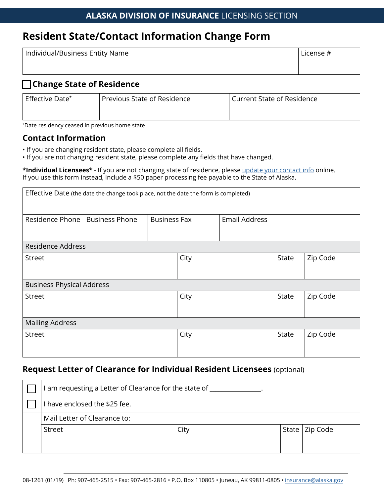## **Resident State/Contact Information Change Form**

| Individual/Business Entity Name | License # |  |
|---------------------------------|-----------|--|
|                                 |           |  |

### □ **Change State of Residence**

| Effective Date* | Previous State of Residence | <b>Current State of Residence</b> |  |  |
|-----------------|-----------------------------|-----------------------------------|--|--|
|                 |                             |                                   |  |  |

\* Date residency ceased in previous home state

### **Contact Information**

- If you are changing resident state, please complete all fields.
- If you are not changing resident state, please complete any fields that have changed.

**\*Individual Licensees\*** - If you are not changing state of residence, please [update your contact info](https://nipr.com/licensing-center/state-requirements) online. If you use this form instead, include a \$50 paper processing fee payable to the State of Alaska.

| Effective Date (the date the change took place, not the date the form is completed) |                       |                     |      |                      |          |          |
|-------------------------------------------------------------------------------------|-----------------------|---------------------|------|----------------------|----------|----------|
| Residence Phone                                                                     | <b>Business Phone</b> | <b>Business Fax</b> |      | <b>Email Address</b> |          |          |
| Residence Address                                                                   |                       |                     |      |                      |          |          |
| <b>Street</b>                                                                       |                       | City                |      | <b>State</b>         | Zip Code |          |
| <b>Business Physical Address</b>                                                    |                       |                     |      |                      |          |          |
| <b>Street</b>                                                                       |                       |                     | City |                      | State    | Zip Code |
| <b>Mailing Address</b>                                                              |                       |                     |      |                      |          |          |
| <b>Street</b>                                                                       |                       |                     | City |                      | State    | Zip Code |

## **Request Letter of Clearance for Individual Resident Licensees** (optional)

| l am requesting a Letter of Clearance for the state of _ |      |  |                  |  |  |
|----------------------------------------------------------|------|--|------------------|--|--|
| I have enclosed the \$25 fee.                            |      |  |                  |  |  |
| Mail Letter of Clearance to:                             |      |  |                  |  |  |
| Street                                                   | City |  | State   Zip Code |  |  |
|                                                          |      |  |                  |  |  |